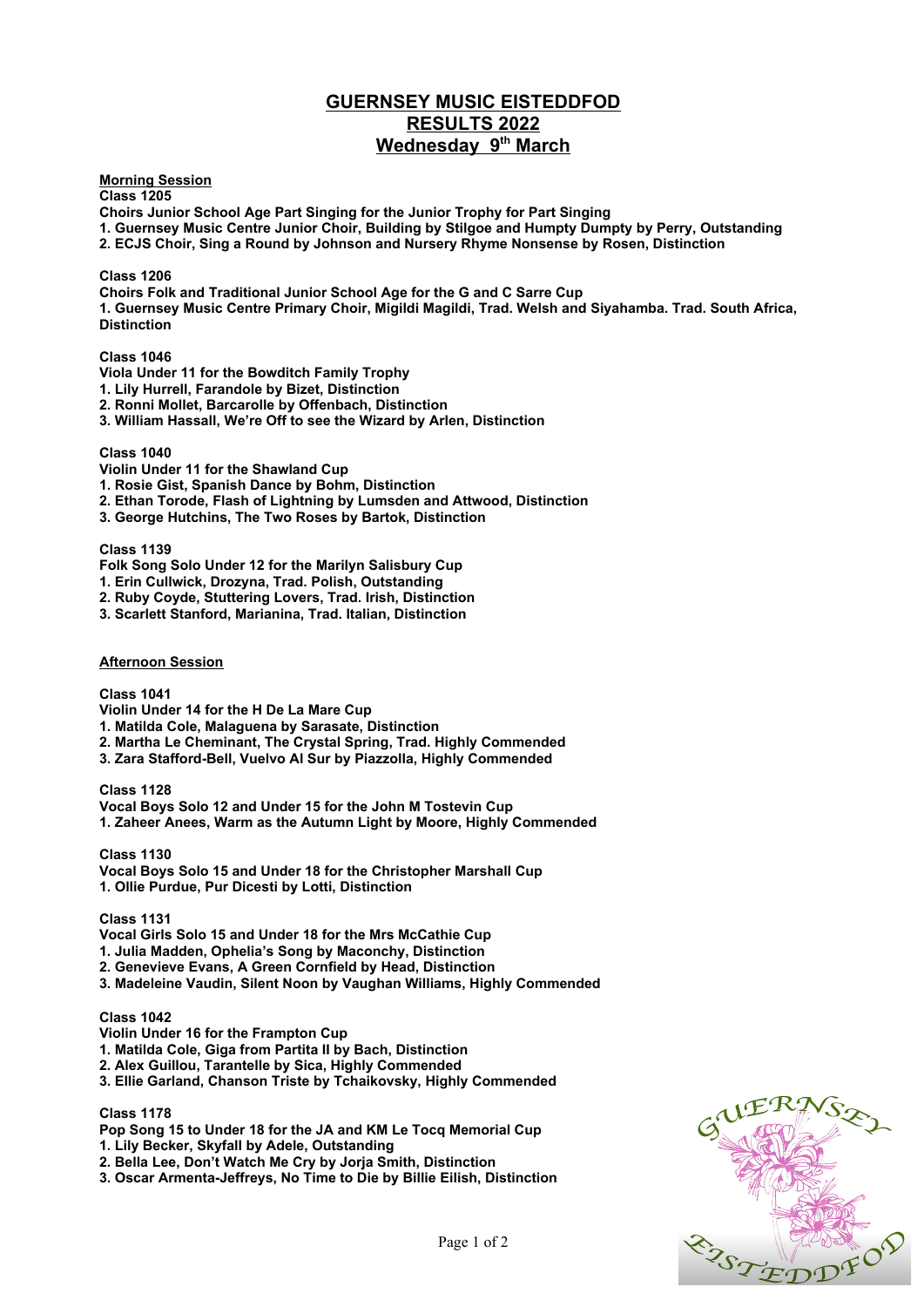# **GUERNSEY MUSIC EISTEDDFOD RESULTS 2022 Wednesday 9th March**

**Morning Session**

**Class 1205 Choirs Junior School Age Part Singing for the Junior Trophy for Part Singing**

**1. Guernsey Music Centre Junior Choir, Building by Stilgoe and Humpty Dumpty by Perry, Outstanding** 

**2. ECJS Choir, Sing a Round by Johnson and Nursery Rhyme Nonsense by Rosen, Distinction** 

## **Class 1206**

**Choirs Folk and Traditional Junior School Age for the G and C Sarre Cup 1. Guernsey Music Centre Primary Choir, Migildi Magildi, Trad. Welsh and Siyahamba. Trad. South Africa, Distinction** 

## **Class 1046**

- **Viola Under 11 for the Bowditch Family Trophy**
- **1. Lily Hurrell, Farandole by Bizet, Distinction**
- **2. Ronni Mollet, Barcarolle by Offenbach, Distinction**
- **3. William Hassall, We're Off to see the Wizard by Arlen, Distinction**

#### **Class 1040**

**Violin Under 11 for the Shawland Cup**

- **1. Rosie Gist, Spanish Dance by Bohm, Distinction**
- **2. Ethan Torode, Flash of Lightning by Lumsden and Attwood, Distinction**
- **3. George Hutchins, The Two Roses by Bartok, Distinction**

#### **Class 1139**

- **Folk Song Solo Under 12 for the Marilyn Salisbury Cup**
- **1. Erin Cullwick, Drozyna, Trad. Polish, Outstanding**
- **2. Ruby Coyde, Stuttering Lovers, Trad. Irish, Distinction**
- **3. Scarlett Stanford, Marianina, Trad. Italian, Distinction**

#### **Afternoon Session**

#### **Class 1041**

- **Violin Under 14 for the H De La Mare Cup**
- **1. Matilda Cole, Malaguena by Sarasate, Distinction**
- **2. Martha Le Cheminant, The Crystal Spring, Trad. Highly Commended**
- **3. Zara Stafford-Bell, Vuelvo Al Sur by Piazzolla, Highly Commended**

**Class 1128**

**Vocal Boys Solo 12 and Under 15 for the John M Tostevin Cup 1. Zaheer Anees, Warm as the Autumn Light by Moore, Highly Commended**

**Class 1130 Vocal Boys Solo 15 and Under 18 for the Christopher Marshall Cup 1. Ollie Purdue, Pur Dicesti by Lotti, Distinction** 

**Class 1131**

**Vocal Girls Solo 15 and Under 18 for the Mrs McCathie Cup**

- **1. Julia Madden, Ophelia's Song by Maconchy, Distinction**
- **2. Genevieve Evans, A Green Cornfield by Head, Distinction**
- **3. Madeleine Vaudin, Silent Noon by Vaughan Williams, Highly Commended**

## **Class 1042**

- **Violin Under 16 for the Frampton Cup**
- **1. Matilda Cole, Giga from Partita II by Bach, Distinction**
- **2. Alex Guillou, Tarantelle by Sica, Highly Commended**
- **3. Ellie Garland, Chanson Triste by Tchaikovsky, Highly Commended**

#### **Class 1178**

- **Pop Song 15 to Under 18 for the JA and KM Le Tocq Memorial Cup**
- **1. Lily Becker, Skyfall by Adele, Outstanding**
- **2. Bella Lee, Don't Watch Me Cry by Jorja Smith, Distinction**
- **3. Oscar Armenta-Jeffreys, No Time to Die by Billie Eilish, Distinction**